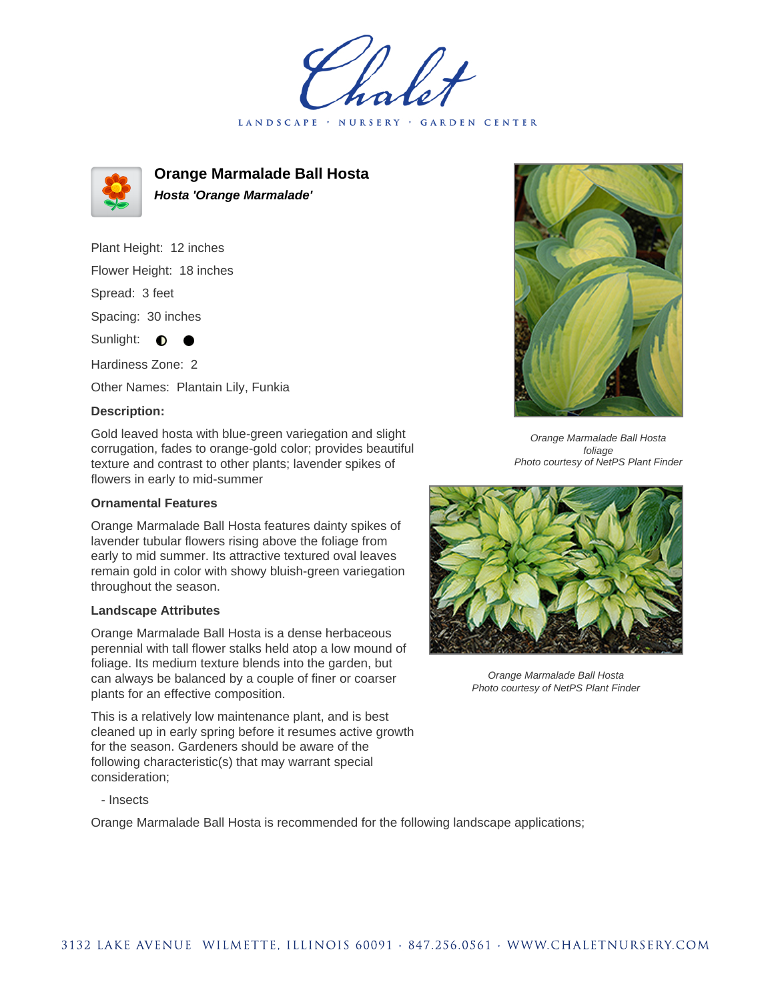LANDSCAPE · NURSERY GARDEN CENTER



**Orange Marmalade Ball Hosta Hosta 'Orange Marmalade'**

Plant Height: 12 inches Flower Height: 18 inches Spread: 3 feet Spacing: 30 inches Sunlight:  $\bullet$ 

Hardiness Zone: 2

Other Names: Plantain Lily, Funkia

## **Description:**

Gold leaved hosta with blue-green variegation and slight corrugation, fades to orange-gold color; provides beautiful texture and contrast to other plants; lavender spikes of flowers in early to mid-summer

## **Ornamental Features**

Orange Marmalade Ball Hosta features dainty spikes of lavender tubular flowers rising above the foliage from early to mid summer. Its attractive textured oval leaves remain gold in color with showy bluish-green variegation throughout the season.

## **Landscape Attributes**

Orange Marmalade Ball Hosta is a dense herbaceous perennial with tall flower stalks held atop a low mound of foliage. Its medium texture blends into the garden, but can always be balanced by a couple of finer or coarser plants for an effective composition.

This is a relatively low maintenance plant, and is best cleaned up in early spring before it resumes active growth for the season. Gardeners should be aware of the following characteristic(s) that may warrant special consideration;

- Insects

Orange Marmalade Ball Hosta is recommended for the following landscape applications;



Orange Marmalade Ball Hosta foliage Photo courtesy of NetPS Plant Finder



Orange Marmalade Ball Hosta Photo courtesy of NetPS Plant Finder